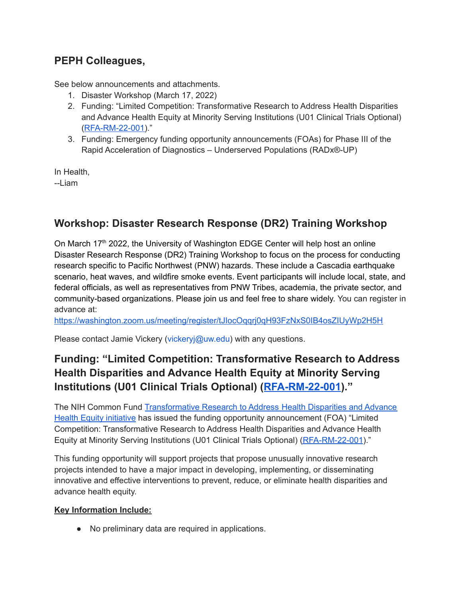## **PEPH Colleagues,**

See below announcements and attachments.

- 1. Disaster Workshop (March 17, 2022)
- 2. Funding: "Limited Competition: Transformative Research to Address Health Disparities and Advance Health Equity at Minority Serving Institutions (U01 Clinical Trials Optional) ([RFA-RM-22-001\)](https://nam04.safelinks.protection.outlook.com/?url=https%3A%2F%2Fgrants.nih.gov%2Fgrants%2Fguide%2Frfa-files%2FRFA-RM-22-001.html&data=04%7C01%7Cgdowner%40howard.edu%7C6556fc09fc6f444f947b08da015575ef%7C02ac0c07b75f46bf9b133630ba94bb69%7C0%7C0%7C637823764615184785%7CUnknown%7CTWFpbGZsb3d8eyJWIjoiMC4wLjAwMDAiLCJQIjoiV2luMzIiLCJBTiI6Ik1haWwiLCJXVCI6Mn0%3D%7C3000&sdata=1OpVuF69cXyY04xINFNyi4C3Vxec20xCUFHJ%2BuT7%2BvI%3D&reserved=0)."
- 3. Funding: Emergency funding opportunity announcements (FOAs) for Phase III of the Rapid Acceleration of Diagnostics – Underserved Populations (RADx®-UP)

In Health, --Liam

## **Workshop: Disaster Research Response (DR2) Training Workshop**

On March 17<sup>th</sup> 2022, the University of Washington EDGE Center will help host an online Disaster Research Response (DR2) Training Workshop to focus on the process for conducting research specific to Pacific Northwest (PNW) hazards. These include a Cascadia earthquake scenario, heat waves, and wildfire smoke events. Event participants will include local, state, and federal officials, as well as representatives from PNW Tribes, academia, the private sector, and community-based organizations. Please join us and feel free to share widely. You can register in advance at:

[https://washington.zoom.us/meeting/register/tJIocOqqrj0qH93FzNxS0IB4osZIUyWp2H5H](https://nam04.safelinks.protection.outlook.com/?url=https%3A%2F%2Fwashington.zoom.us%2Fmeeting%2Fregister%2FtJIocOqqrj0qH93FzNxS0IB4osZIUyWp2H5H&data=04%7C01%7Cgdowner%40howard.edu%7C6556fc09fc6f444f947b08da015575ef%7C02ac0c07b75f46bf9b133630ba94bb69%7C0%7C0%7C637823764615184785%7CUnknown%7CTWFpbGZsb3d8eyJWIjoiMC4wLjAwMDAiLCJQIjoiV2luMzIiLCJBTiI6Ik1haWwiLCJXVCI6Mn0%3D%7C3000&sdata=sIjqF6bB%2Bi%2B%2FsLpxgfePie6CdnFj7%2B0Svqds4%2BDDdm4%3D&reserved=0)

Please contact Jamie Vickery (vickeryj@uw.edu) with any questions.

# **Funding: "Limited Competition: Transformative Research to Address Health Disparities and Advance Health Equity at Minority Serving Institutions (U01 Clinical Trials Optional) ([RFA-RM-22-001](https://nam04.safelinks.protection.outlook.com/?url=https%3A%2F%2Fgrants.nih.gov%2Fgrants%2Fguide%2Frfa-files%2FRFA-RM-22-001.html&data=04%7C01%7Cgdowner%40howard.edu%7C6556fc09fc6f444f947b08da015575ef%7C02ac0c07b75f46bf9b133630ba94bb69%7C0%7C0%7C637823764615340173%7CUnknown%7CTWFpbGZsb3d8eyJWIjoiMC4wLjAwMDAiLCJQIjoiV2luMzIiLCJBTiI6Ik1haWwiLCJXVCI6Mn0%3D%7C3000&sdata=%2B5Lfy9EEp346xYRaYonCvjheB50vcCKnOhsQ7gbkxys%3D&reserved=0))."**

The NIH Common Fund [Transformative](https://nam04.safelinks.protection.outlook.com/?url=https%3A%2F%2Fcommonfund.nih.gov%2Fhealthdisparitiestransformation&data=04%7C01%7Cgdowner%40howard.edu%7C6556fc09fc6f444f947b08da015575ef%7C02ac0c07b75f46bf9b133630ba94bb69%7C0%7C0%7C637823764615340173%7CUnknown%7CTWFpbGZsb3d8eyJWIjoiMC4wLjAwMDAiLCJQIjoiV2luMzIiLCJBTiI6Ik1haWwiLCJXVCI6Mn0%3D%7C3000&sdata=t0PQQYYVSvlfzX1QzS4AXj%2FSIu2Y7ofJif%2FFRPWxuYs%3D&reserved=0) Research to Address Health Disparities and Advance Health Equity [initiative](https://nam04.safelinks.protection.outlook.com/?url=https%3A%2F%2Fcommonfund.nih.gov%2Fhealthdisparitiestransformation&data=04%7C01%7Cgdowner%40howard.edu%7C6556fc09fc6f444f947b08da015575ef%7C02ac0c07b75f46bf9b133630ba94bb69%7C0%7C0%7C637823764615340173%7CUnknown%7CTWFpbGZsb3d8eyJWIjoiMC4wLjAwMDAiLCJQIjoiV2luMzIiLCJBTiI6Ik1haWwiLCJXVCI6Mn0%3D%7C3000&sdata=t0PQQYYVSvlfzX1QzS4AXj%2FSIu2Y7ofJif%2FFRPWxuYs%3D&reserved=0) has issued the funding opportunity announcement (FOA) "Limited Competition: Transformative Research to Address Health Disparities and Advance Health Equity at Minority Serving Institutions (U01 Clinical Trials Optional) [\(RFA-RM-22-001](https://nam04.safelinks.protection.outlook.com/?url=https%3A%2F%2Fgrants.nih.gov%2Fgrants%2Fguide%2Frfa-files%2FRFA-RM-22-001.html&data=04%7C01%7Cgdowner%40howard.edu%7C6556fc09fc6f444f947b08da015575ef%7C02ac0c07b75f46bf9b133630ba94bb69%7C0%7C0%7C637823764615340173%7CUnknown%7CTWFpbGZsb3d8eyJWIjoiMC4wLjAwMDAiLCJQIjoiV2luMzIiLCJBTiI6Ik1haWwiLCJXVCI6Mn0%3D%7C3000&sdata=%2B5Lfy9EEp346xYRaYonCvjheB50vcCKnOhsQ7gbkxys%3D&reserved=0))."

This funding opportunity will support projects that propose unusually innovative research projects intended to have a major impact in developing, implementing, or disseminating innovative and effective interventions to prevent, reduce, or eliminate health disparities and advance health equity.

#### **Key Information Include:**

● No preliminary data are required in applications.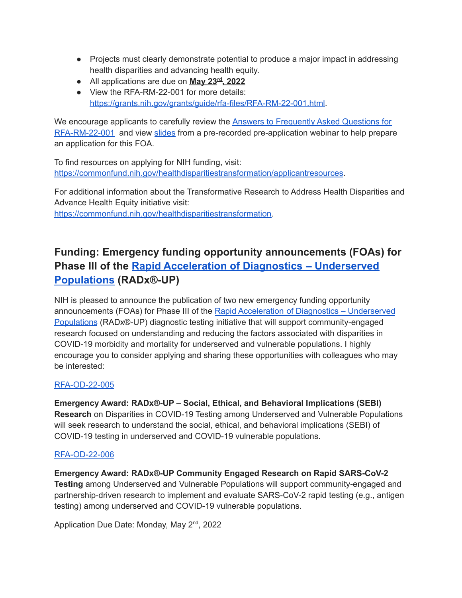- Projects must clearly demonstrate potential to produce a major impact in addressing health disparities and advancing health equity.
- All applications are due on **May 23 rd , 2022**
- View the RFA-RM-22-001 for more details: [https://grants.nih.gov/grants/guide/rfa-files/RFA-RM-22-001.html.](https://nam04.safelinks.protection.outlook.com/?url=https%3A%2F%2Fgrants.nih.gov%2Fgrants%2Fguide%2Frfa-files%2FRFA-RM-22-001.html&data=04%7C01%7Cgdowner%40howard.edu%7C6556fc09fc6f444f947b08da015575ef%7C02ac0c07b75f46bf9b133630ba94bb69%7C0%7C0%7C637823764615340173%7CUnknown%7CTWFpbGZsb3d8eyJWIjoiMC4wLjAwMDAiLCJQIjoiV2luMzIiLCJBTiI6Ik1haWwiLCJXVCI6Mn0%3D%7C3000&sdata=%2B5Lfy9EEp346xYRaYonCvjheB50vcCKnOhsQ7gbkxys%3D&reserved=0)

We encourage applicants to carefully review the Answers to [Frequently](https://nam04.safelinks.protection.outlook.com/?url=https%3A%2F%2Fcommonfund.nih.gov%2Fhealthdisparitiestransformation%2Ffaqs&data=04%7C01%7Cgdowner%40howard.edu%7C6556fc09fc6f444f947b08da015575ef%7C02ac0c07b75f46bf9b133630ba94bb69%7C0%7C0%7C637823764615340173%7CUnknown%7CTWFpbGZsb3d8eyJWIjoiMC4wLjAwMDAiLCJQIjoiV2luMzIiLCJBTiI6Ik1haWwiLCJXVCI6Mn0%3D%7C3000&sdata=AGALjLtmgvVI%2Bg9v9AmNAEObTAymb%2BTRTIZN%2FijAzzU%3D&reserved=0) Asked Questions for [RFA-RM-22-001](https://nam04.safelinks.protection.outlook.com/?url=https%3A%2F%2Fcommonfund.nih.gov%2Fhealthdisparitiestransformation%2Ffaqs&data=04%7C01%7Cgdowner%40howard.edu%7C6556fc09fc6f444f947b08da015575ef%7C02ac0c07b75f46bf9b133630ba94bb69%7C0%7C0%7C637823764615340173%7CUnknown%7CTWFpbGZsb3d8eyJWIjoiMC4wLjAwMDAiLCJQIjoiV2luMzIiLCJBTiI6Ik1haWwiLCJXVCI6Mn0%3D%7C3000&sdata=AGALjLtmgvVI%2Bg9v9AmNAEObTAymb%2BTRTIZN%2FijAzzU%3D&reserved=0) and view [slides](https://nam04.safelinks.protection.outlook.com/?url=https%3A%2F%2Fcommonfund.nih.gov%2Fsites%2Fdefault%2Ffiles%2FPre-Application%2520Webinar_RFA-RM-22-001_February%252016%25202022_POSTING.pdf&data=04%7C01%7Cgdowner%40howard.edu%7C6556fc09fc6f444f947b08da015575ef%7C02ac0c07b75f46bf9b133630ba94bb69%7C0%7C0%7C637823764615340173%7CUnknown%7CTWFpbGZsb3d8eyJWIjoiMC4wLjAwMDAiLCJQIjoiV2luMzIiLCJBTiI6Ik1haWwiLCJXVCI6Mn0%3D%7C3000&sdata=OhhiockFsBOVKNRcHnsp%2FjX8Ub%2BD3LdWI3i9vPl3b1M%3D&reserved=0) from a pre-recorded pre-application webinar to help prepare an application for this FOA.

To find resources on applying for NIH funding, visit: [https://commonfund.nih.gov/healthdisparitiestransformation/applicantresources](https://nam04.safelinks.protection.outlook.com/?url=https%3A%2F%2Fcommonfund.nih.gov%2Fhealthdisparitiestransformation%2Fapplicantresources&data=04%7C01%7Cgdowner%40howard.edu%7C6556fc09fc6f444f947b08da015575ef%7C02ac0c07b75f46bf9b133630ba94bb69%7C0%7C0%7C637823764615340173%7CUnknown%7CTWFpbGZsb3d8eyJWIjoiMC4wLjAwMDAiLCJQIjoiV2luMzIiLCJBTiI6Ik1haWwiLCJXVCI6Mn0%3D%7C3000&sdata=dMEe1NB1NRCg1Odvy2FNCkhEOXMEs9oTpWB9WoE540U%3D&reserved=0).

For additional information about the Transformative Research to Address Health Disparities and Advance Health Equity initiative visit: [https://commonfund.nih.gov/healthdisparitiestransformation.](https://nam04.safelinks.protection.outlook.com/?url=https%3A%2F%2Fcommonfund.nih.gov%2Fhealthdisparitiestransformation&data=04%7C01%7Cgdowner%40howard.edu%7C6556fc09fc6f444f947b08da015575ef%7C02ac0c07b75f46bf9b133630ba94bb69%7C0%7C0%7C637823764615340173%7CUnknown%7CTWFpbGZsb3d8eyJWIjoiMC4wLjAwMDAiLCJQIjoiV2luMzIiLCJBTiI6Ik1haWwiLCJXVCI6Mn0%3D%7C3000&sdata=t0PQQYYVSvlfzX1QzS4AXj%2FSIu2Y7ofJif%2FFRPWxuYs%3D&reserved=0)

## **Funding: Emergency funding opportunity announcements (FOAs) for Phase III of the Rapid Acceleration of Diagnostics – [Underserved](https://nam04.safelinks.protection.outlook.com/?url=https%3A%2F%2Fwww.nih.gov%2Fresearch-training%2Fmedical-research-initiatives%2Fradx%2Fradx-programs%23radx-up&data=04%7C01%7Cgdowner%40howard.edu%7C6556fc09fc6f444f947b08da015575ef%7C02ac0c07b75f46bf9b133630ba94bb69%7C0%7C0%7C637823764615340173%7CUnknown%7CTWFpbGZsb3d8eyJWIjoiMC4wLjAwMDAiLCJQIjoiV2luMzIiLCJBTiI6Ik1haWwiLCJXVCI6Mn0%3D%7C3000&sdata=tmq7zHQKS9w1bZXsLo1mHFpXDockhRYwlqz8yB9E56s%3D&reserved=0) [Populations](https://nam04.safelinks.protection.outlook.com/?url=https%3A%2F%2Fwww.nih.gov%2Fresearch-training%2Fmedical-research-initiatives%2Fradx%2Fradx-programs%23radx-up&data=04%7C01%7Cgdowner%40howard.edu%7C6556fc09fc6f444f947b08da015575ef%7C02ac0c07b75f46bf9b133630ba94bb69%7C0%7C0%7C637823764615340173%7CUnknown%7CTWFpbGZsb3d8eyJWIjoiMC4wLjAwMDAiLCJQIjoiV2luMzIiLCJBTiI6Ik1haWwiLCJXVCI6Mn0%3D%7C3000&sdata=tmq7zHQKS9w1bZXsLo1mHFpXDockhRYwlqz8yB9E56s%3D&reserved=0) (RADx®-UP)**

NIH is pleased to announce the publication of two new emergency funding opportunity announcements (FOAs) for Phase III of the Rapid Acceleration of Diagnostics – [Underserved](https://nam04.safelinks.protection.outlook.com/?url=https%3A%2F%2Fwww.nih.gov%2Fresearch-training%2Fmedical-research-initiatives%2Fradx%2Fradx-programs%23radx-up&data=04%7C01%7Cgdowner%40howard.edu%7C6556fc09fc6f444f947b08da015575ef%7C02ac0c07b75f46bf9b133630ba94bb69%7C0%7C0%7C637823764615340173%7CUnknown%7CTWFpbGZsb3d8eyJWIjoiMC4wLjAwMDAiLCJQIjoiV2luMzIiLCJBTiI6Ik1haWwiLCJXVCI6Mn0%3D%7C3000&sdata=tmq7zHQKS9w1bZXsLo1mHFpXDockhRYwlqz8yB9E56s%3D&reserved=0) [Populations](https://nam04.safelinks.protection.outlook.com/?url=https%3A%2F%2Fwww.nih.gov%2Fresearch-training%2Fmedical-research-initiatives%2Fradx%2Fradx-programs%23radx-up&data=04%7C01%7Cgdowner%40howard.edu%7C6556fc09fc6f444f947b08da015575ef%7C02ac0c07b75f46bf9b133630ba94bb69%7C0%7C0%7C637823764615340173%7CUnknown%7CTWFpbGZsb3d8eyJWIjoiMC4wLjAwMDAiLCJQIjoiV2luMzIiLCJBTiI6Ik1haWwiLCJXVCI6Mn0%3D%7C3000&sdata=tmq7zHQKS9w1bZXsLo1mHFpXDockhRYwlqz8yB9E56s%3D&reserved=0) (RADx®-UP) diagnostic testing initiative that will support community-engaged research focused on understanding and reducing the factors associated with disparities in COVID-19 morbidity and mortality for underserved and vulnerable populations. I highly encourage you to consider applying and sharing these opportunities with colleagues who may be interested:

### [RFA-OD-22-005](https://nam04.safelinks.protection.outlook.com/?url=https%3A%2F%2Fgrants.nih.gov%2Fgrants%2Fguide%2Frfa-files%2FRFA-OD-22-005.html&data=04%7C01%7Cgdowner%40howard.edu%7C6556fc09fc6f444f947b08da015575ef%7C02ac0c07b75f46bf9b133630ba94bb69%7C0%7C0%7C637823764615340173%7CUnknown%7CTWFpbGZsb3d8eyJWIjoiMC4wLjAwMDAiLCJQIjoiV2luMzIiLCJBTiI6Ik1haWwiLCJXVCI6Mn0%3D%7C3000&sdata=Yqt5zJoVBTJAvZBVbkqa0JSkuOXRACdr72jTozGXPZs%3D&reserved=0)

**Emergency Award: RADx®-UP – Social, Ethical, and Behavioral Implications (SEBI) Research** on Disparities in COVID-19 Testing among Underserved and Vulnerable Populations will seek research to understand the social, ethical, and behavioral implications (SEBI) of COVID-19 testing in underserved and COVID-19 vulnerable populations.

#### [RFA-OD-22-006](https://nam04.safelinks.protection.outlook.com/?url=https%3A%2F%2Fgrants.nih.gov%2Fgrants%2Fguide%2Frfa-files%2FRFA-OD-22-006.html%23%3A~%3Atext%3DRFA-OD-22-006%253A%2520Emergency%2520Award%253A%2520RADx-UP%2520Community-Engaged%2520Research%2520on%2520Rapid%2CDepartment%2520of%2520Health%2520and%2520Human%2520Services%2520Part%25201.&data=04%7C01%7Cgdowner%40howard.edu%7C6556fc09fc6f444f947b08da015575ef%7C02ac0c07b75f46bf9b133630ba94bb69%7C0%7C0%7C637823764615340173%7CUnknown%7CTWFpbGZsb3d8eyJWIjoiMC4wLjAwMDAiLCJQIjoiV2luMzIiLCJBTiI6Ik1haWwiLCJXVCI6Mn0%3D%7C3000&sdata=OhsSa26qGQ3jGzWt7IBC5pqbHSNchTrzc1P9j2McqaM%3D&reserved=0)

**Emergency Award: RADx®-UP Community Engaged Research on Rapid SARS-CoV-2 Testing** among Underserved and Vulnerable Populations will support community-engaged and partnership-driven research to implement and evaluate SARS-CoV-2 rapid testing (e.g., antigen testing) among underserved and COVID-19 vulnerable populations.

Application Due Date: Monday, May 2<sup>nd</sup>, 2022